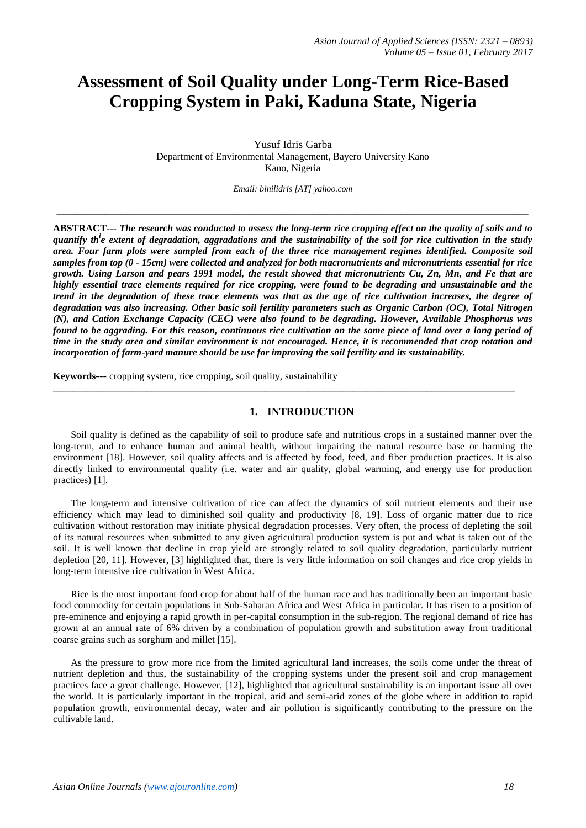# **Assessment of Soil Quality under Long-Term Rice-Based Cropping System in Paki, Kaduna State, Nigeria**

Yusuf Idris Garba Department of Environmental Management, Bayero University Kano Kano, Nigeria

*Email: binilidris [\[AT\] yahoo.com](mailto:binilidris@yahoo.com)*

\_\_\_\_\_\_\_\_\_\_\_\_\_\_\_\_\_\_\_\_\_\_\_\_\_\_\_\_\_\_\_\_\_\_\_\_\_\_\_\_\_\_\_\_\_\_\_\_\_\_\_\_\_\_\_\_\_\_\_\_\_\_\_\_\_\_\_\_\_\_\_\_\_\_\_\_\_\_\_\_\_\_\_\_\_\_\_\_\_\_\_\_\_\_\_\_

**ABSTRACT---** *The research was conducted to assess the long-term rice cropping effect on the quality of soils and to quantify th<sup>i</sup> e extent of degradation, aggradations and the sustainability of the soil for rice cultivation in the study area. Four farm plots were sampled from each of the three rice management regimes identified. Composite soil samples from top (0 - 15cm) were collected and analyzed for both macronutrients and micronutrients essential for rice growth. Using Larson and pears 1991 model, the result showed that micronutrients Cu, Zn, Mn, and Fe that are highly essential trace elements required for rice cropping, were found to be degrading and unsustainable and the trend in the degradation of these trace elements was that as the age of rice cultivation increases, the degree of degradation was also increasing. Other basic soil fertility parameters such as Organic Carbon (OC), Total Nitrogen (N), and Cation Exchange Capacity (CEC) were also found to be degrading. However, Available Phosphorus was found to be aggrading. For this reason, continuous rice cultivation on the same piece of land over a long period of time in the study area and similar environment is not encouraged. Hence, it is recommended that crop rotation and incorporation of farm-yard manure should be use for improving the soil fertility and its sustainability.*

**Keywords---** cropping system, rice cropping, soil quality, sustainability

#### **1. INTRODUCTION**

\_\_\_\_\_\_\_\_\_\_\_\_\_\_\_\_\_\_\_\_\_\_\_\_\_\_\_\_\_\_\_\_\_\_\_\_\_\_\_\_\_\_\_\_\_\_\_\_\_\_\_\_\_\_\_\_\_\_\_\_\_\_\_\_\_\_\_\_\_\_\_\_\_\_\_\_\_\_\_\_\_\_\_\_\_\_\_\_\_\_\_\_\_\_

Soil quality is defined as the capability of soil to produce safe and nutritious crops in a sustained manner over the long-term, and to enhance human and animal health, without impairing the natural resource base or harming the environment [18]. However, soil quality affects and is affected by food, feed, and fiber production practices. It is also directly linked to environmental quality (i.e. water and air quality, global warming, and energy use for production practices) [1].

The long-term and intensive cultivation of rice can affect the dynamics of soil nutrient elements and their use efficiency which may lead to diminished soil quality and productivity [8, 19]. Loss of organic matter due to rice cultivation without restoration may initiate physical degradation processes. Very often, the process of depleting the soil of its natural resources when submitted to any given agricultural production system is put and what is taken out of the soil. It is well known that decline in crop yield are strongly related to soil quality degradation, particularly nutrient depletion [20, 11]. However, [3] highlighted that, there is very little information on soil changes and rice crop yields in long-term intensive rice cultivation in West Africa.

Rice is the most important food crop for about half of the human race and has traditionally been an important basic food commodity for certain populations in Sub-Saharan Africa and West Africa in particular. It has risen to a position of pre-eminence and enjoying a rapid growth in per-capital consumption in the sub-region. The regional demand of rice has grown at an annual rate of 6% driven by a combination of population growth and substitution away from traditional coarse grains such as sorghum and millet [15].

As the pressure to grow more rice from the limited agricultural land increases, the soils come under the threat of nutrient depletion and thus, the sustainability of the cropping systems under the present soil and crop management practices face a great challenge. However, [12], highlighted that agricultural sustainability is an important issue all over the world. It is particularly important in the tropical, arid and semi-arid zones of the globe where in addition to rapid population growth, environmental decay, water and air pollution is significantly contributing to the pressure on the cultivable land.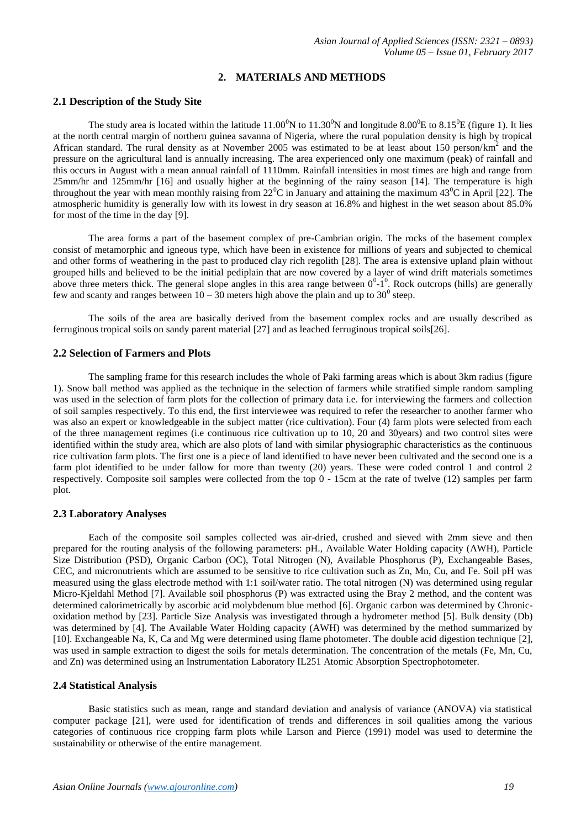## **2. MATERIALS AND METHODS**

## **2.1 Description of the Study Site**

The study area is located within the latitude  $11.00^{0}N$  to  $11.30^{0}N$  and longitude 8.00<sup>0</sup>E to 8.15<sup>0</sup>E (figure 1). It lies at the north central margin of northern guinea savanna of Nigeria, where the rural population density is high by tropical African standard. The rural density as at November 2005 was estimated to be at least about 150 person/km<sup>2</sup> and the pressure on the agricultural land is annually increasing. The area experienced only one maximum (peak) of rainfall and this occurs in August with a mean annual rainfall of 1110mm. Rainfall intensities in most times are high and range from 25mm/hr and 125mm/hr [16] and usually higher at the beginning of the rainy season [14]. The temperature is high throughout the year with mean monthly raising from  $22^{\circ}$ C in January and attaining the maximum  $43^{\circ}$ C in April [22]. The atmospheric humidity is generally low with its lowest in dry season at 16.8% and highest in the wet season about 85.0% for most of the time in the day [9].

The area forms a part of the basement complex of pre-Cambrian origin. The rocks of the basement complex consist of metamorphic and igneous type, which have been in existence for millions of years and subjected to chemical and other forms of weathering in the past to produced clay rich regolith [28]. The area is extensive upland plain without grouped hills and believed to be the initial pediplain that are now covered by a layer of wind drift materials sometimes above three meters thick. The general slope angles in this area range between  $0^0$ -1<sup>0</sup>. Rock outcrops (hills) are generally few and scanty and ranges between  $10 - 30$  meters high above the plain and up to  $30^{\circ}$  steep.

The soils of the area are basically derived from the basement complex rocks and are usually described as ferruginous tropical soils on sandy parent material [27] and as leached ferruginous tropical soils[26].

## **2.2 Selection of Farmers and Plots**

The sampling frame for this research includes the whole of Paki farming areas which is about 3km radius (figure 1). Snow ball method was applied as the technique in the selection of farmers while stratified simple random sampling was used in the selection of farm plots for the collection of primary data i.e. for interviewing the farmers and collection of soil samples respectively. To this end, the first interviewee was required to refer the researcher to another farmer who was also an expert or knowledgeable in the subject matter (rice cultivation). Four (4) farm plots were selected from each of the three management regimes (i.e continuous rice cultivation up to 10, 20 and 30years) and two control sites were identified within the study area, which are also plots of land with similar physiographic characteristics as the continuous rice cultivation farm plots. The first one is a piece of land identified to have never been cultivated and the second one is a farm plot identified to be under fallow for more than twenty (20) years. These were coded control 1 and control 2 respectively. Composite soil samples were collected from the top 0 - 15cm at the rate of twelve (12) samples per farm plot.

## **2.3 Laboratory Analyses**

Each of the composite soil samples collected was air-dried, crushed and sieved with 2mm sieve and then prepared for the routing analysis of the following parameters: pH., Available Water Holding capacity (AWH), Particle Size Distribution (PSD), Organic Carbon (OC), Total Nitrogen (N), Available Phosphorus (P), Exchangeable Bases, CEC, and micronutrients which are assumed to be sensitive to rice cultivation such as Zn, Mn, Cu, and Fe. Soil pH was measured using the glass electrode method with 1:1 soil/water ratio. The total nitrogen (N) was determined using regular Micro-Kjeldahl Method [7]. Available soil phosphorus (P) was extracted using the Bray 2 method, and the content was determined calorimetrically by ascorbic acid molybdenum blue method [6]. Organic carbon was determined by Chronicoxidation method by [23]. Particle Size Analysis was investigated through a hydrometer method [5]. Bulk density (Db) was determined by [4]. The Available Water Holding capacity (AWH) was determined by the method summarized by [10]. Exchangeable Na, K, Ca and Mg were determined using flame photometer. The double acid digestion technique [2], was used in sample extraction to digest the soils for metals determination. The concentration of the metals (Fe, Mn, Cu, and Zn) was determined using an Instrumentation Laboratory IL251 Atomic Absorption Spectrophotometer.

## **2.4 Statistical Analysis**

Basic statistics such as mean, range and standard deviation and analysis of variance (ANOVA) via statistical computer package [21], were used for identification of trends and differences in soil qualities among the various categories of continuous rice cropping farm plots while Larson and Pierce (1991) model was used to determine the sustainability or otherwise of the entire management.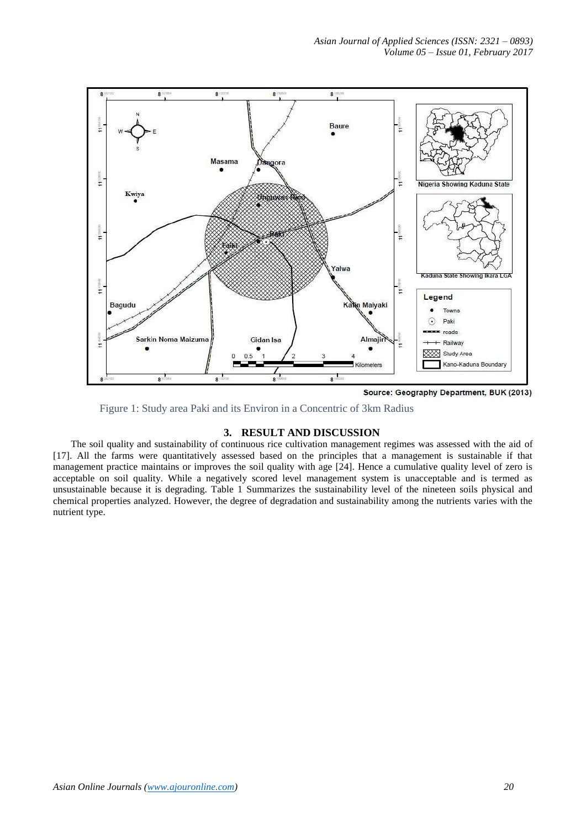

Source: Geography Department, BUK (2013)

Figure 1: Study area Paki and its Environ in a Concentric of 3km Radius

## **3. RESULT AND DISCUSSION**

The soil quality and sustainability of continuous rice cultivation management regimes was assessed with the aid of [17]. All the farms were quantitatively assessed based on the principles that a management is sustainable if that management practice maintains or improves the soil quality with age [24]. Hence a cumulative quality level of zero is acceptable on soil quality. While a negatively scored level management system is unacceptable and is termed as unsustainable because it is degrading. Table 1 Summarizes the sustainability level of the nineteen soils physical and chemical properties analyzed. However, the degree of degradation and sustainability among the nutrients varies with the nutrient type.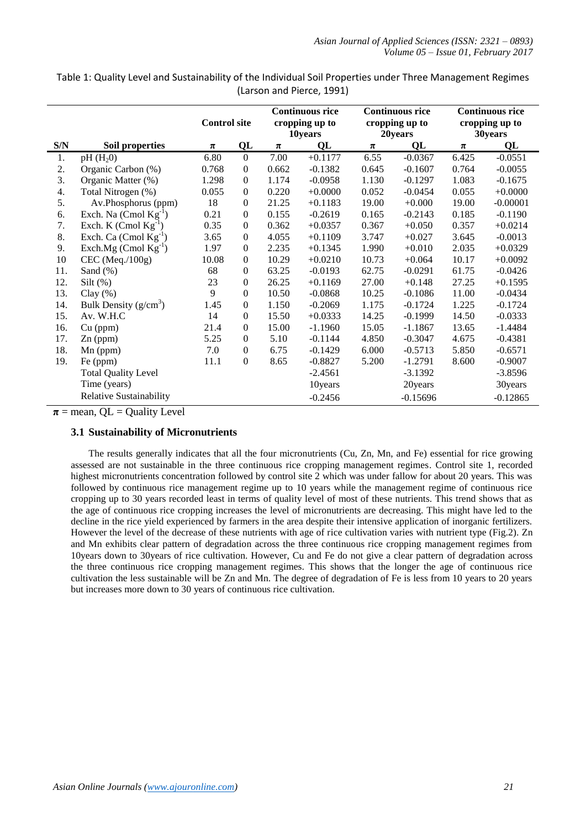Table 1: Quality Level and Sustainability of the Individual Soil Properties under Three Management Regimes (Larson and Pierce, 1991)

|     |                                | <b>Control site</b> |                  | <b>Continuous rice</b><br>cropping up to<br>10years |           | <b>Continuous rice</b><br>cropping up to<br>20years |            | <b>Continuous rice</b><br>cropping up to<br>30years |            |
|-----|--------------------------------|---------------------|------------------|-----------------------------------------------------|-----------|-----------------------------------------------------|------------|-----------------------------------------------------|------------|
| S/N | Soil properties                | $\pi$               | QL               | $\pmb{\pi}$                                         | QL        | π                                                   | QL         | $\pmb{\pi}$                                         | QL         |
| 1.  | $pH(H_20)$                     | 6.80                | $\overline{0}$   | 7.00                                                | $+0.1177$ | 6.55                                                | $-0.0367$  | 6.425                                               | $-0.0551$  |
| 2.  | Organic Carbon (%)             | 0.768               | $\mathbf{0}$     | 0.662                                               | $-0.1382$ | 0.645                                               | $-0.1607$  | 0.764                                               | $-0.0055$  |
| 3.  | Organic Matter (%)             | 1.298               | 0                | 1.174                                               | $-0.0958$ | 1.130                                               | $-0.1297$  | 1.083                                               | $-0.1675$  |
| 4.  | Total Nitrogen (%)             | 0.055               | $\Omega$         | 0.220                                               | $+0.0000$ | 0.052                                               | $-0.0454$  | 0.055                                               | $+0.0000$  |
| 5.  | Av.Phosphorus (ppm)            | 18                  | 0                | 21.25                                               | $+0.1183$ | 19.00                                               | $+0.000$   | 19.00                                               | $-0.00001$ |
| 6.  | Exch. Na $(Cmol Kg^{-1})$      | 0.21                | $\mathbf{0}$     | 0.155                                               | $-0.2619$ | 0.165                                               | $-0.2143$  | 0.185                                               | $-0.1190$  |
| 7.  | Exch. K (Cmol $Kg^{-1}$ )      | 0.35                | $\boldsymbol{0}$ | 0.362                                               | $+0.0357$ | 0.367                                               | $+0.050$   | 0.357                                               | $+0.0214$  |
| 8.  | Exch. Ca $(Cmol Kg^{-1})$      | 3.65                | $\theta$         | 4.055                                               | $+0.1109$ | 3.747                                               | $+0.027$   | 3.645                                               | $-0.0013$  |
| 9.  | Exch.Mg $(Cmol Kg^{-1})$       | 1.97                | $\Omega$         | 2.235                                               | $+0.1345$ | 1.990                                               | $+0.010$   | 2.035                                               | $+0.0329$  |
| 10  | CEC (Meq./100g)                | 10.08               | $\mathbf{0}$     | 10.29                                               | $+0.0210$ | 10.73                                               | $+0.064$   | 10.17                                               | $+0.0092$  |
| 11. | Sand $(\%)$                    | 68                  | 0                | 63.25                                               | $-0.0193$ | 62.75                                               | $-0.0291$  | 61.75                                               | $-0.0426$  |
| 12. | Silt $(\%)$                    | 23                  | $\boldsymbol{0}$ | 26.25                                               | $+0.1169$ | 27.00                                               | $+0.148$   | 27.25                                               | $+0.1595$  |
| 13. | Clay $(\%)$                    | 9                   | $\Omega$         | 10.50                                               | $-0.0868$ | 10.25                                               | $-0.1086$  | 11.00                                               | $-0.0434$  |
| 14. | Bulk Density $(g/cm^3)$        | 1.45                | $\overline{0}$   | 1.150                                               | $-0.2069$ | 1.175                                               | $-0.1724$  | 1.225                                               | $-0.1724$  |
| 15. | Av. W.H.C                      | 14                  | $\mathbf{0}$     | 15.50                                               | $+0.0333$ | 14.25                                               | $-0.1999$  | 14.50                                               | $-0.0333$  |
| 16. | $Cu$ (ppm)                     | 21.4                | 0                | 15.00                                               | $-1.1960$ | 15.05                                               | $-1.1867$  | 13.65                                               | $-1.4484$  |
| 17. | $Zn$ (ppm)                     | 5.25                | $\boldsymbol{0}$ | 5.10                                                | $-0.1144$ | 4.850                                               | $-0.3047$  | 4.675                                               | $-0.4381$  |
| 18. | $Mn$ (ppm)                     | 7.0                 | $\overline{0}$   | 6.75                                                | $-0.1429$ | 6.000                                               | $-0.5713$  | 5.850                                               | $-0.6571$  |
| 19. | Fe (ppm)                       | 11.1                | $\overline{0}$   | 8.65                                                | $-0.8827$ | 5.200                                               | $-1.2791$  | 8.600                                               | $-0.9007$  |
|     | <b>Total Quality Level</b>     |                     |                  |                                                     | $-2.4561$ |                                                     | $-3.1392$  |                                                     | $-3.8596$  |
|     | Time (years)                   |                     |                  |                                                     | 10years   |                                                     | 20years    |                                                     | 30years    |
|     | <b>Relative Sustainability</b> |                     |                  |                                                     | $-0.2456$ |                                                     | $-0.15696$ |                                                     | $-0.12865$ |

 $\pi$  = mean, QL = Quality Level

## **3.1 Sustainability of Micronutrients**

The results generally indicates that all the four micronutrients (Cu, Zn, Mn, and Fe) essential for rice growing assessed are not sustainable in the three continuous rice cropping management regimes. Control site 1, recorded highest micronutrients concentration followed by control site 2 which was under fallow for about 20 years. This was followed by continuous rice management regime up to 10 years while the management regime of continuous rice cropping up to 30 years recorded least in terms of quality level of most of these nutrients. This trend shows that as the age of continuous rice cropping increases the level of micronutrients are decreasing. This might have led to the decline in the rice yield experienced by farmers in the area despite their intensive application of inorganic fertilizers. However the level of the decrease of these nutrients with age of rice cultivation varies with nutrient type (Fig.2). Zn and Mn exhibits clear pattern of degradation across the three continuous rice cropping management regimes from 10years down to 30years of rice cultivation. However, Cu and Fe do not give a clear pattern of degradation across the three continuous rice cropping management regimes. This shows that the longer the age of continuous rice cultivation the less sustainable will be Zn and Mn. The degree of degradation of Fe is less from 10 years to 20 years but increases more down to 30 years of continuous rice cultivation.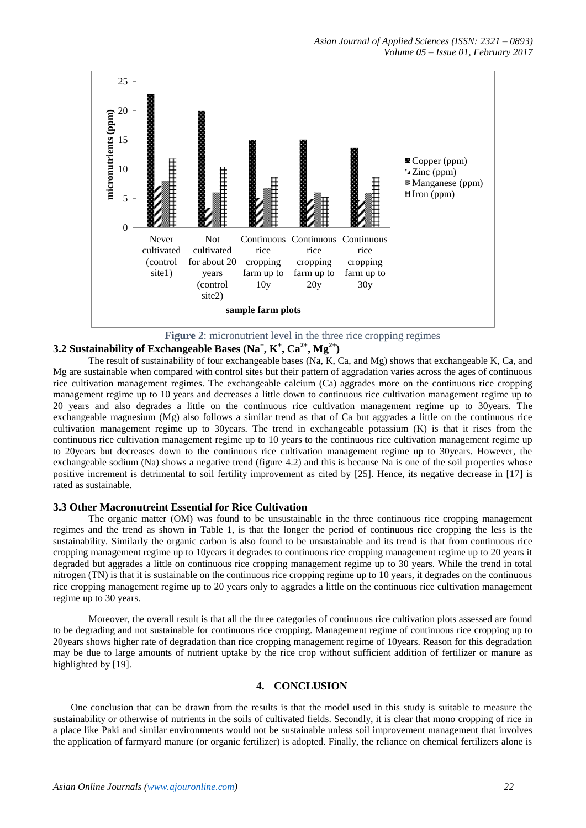

**Figure 2**: micronutrient level in the three rice cropping regimes

# **3.2 Sustainability of Exchangeable Bases (Na<sup>+</sup>, K<sup>+</sup>, Ca<sup>2+</sup>, Mg<sup>2+</sup>)**

The result of sustainability of four exchangeable bases (Na, K, Ca, and Mg) shows that exchangeable K, Ca, and Mg are sustainable when compared with control sites but their pattern of aggradation varies across the ages of continuous rice cultivation management regimes. The exchangeable calcium (Ca) aggrades more on the continuous rice cropping management regime up to 10 years and decreases a little down to continuous rice cultivation management regime up to 20 years and also degrades a little on the continuous rice cultivation management regime up to 30years. The exchangeable magnesium (Mg) also follows a similar trend as that of Ca but aggrades a little on the continuous rice cultivation management regime up to 30years. The trend in exchangeable potassium (K) is that it rises from the continuous rice cultivation management regime up to 10 years to the continuous rice cultivation management regime up to 20years but decreases down to the continuous rice cultivation management regime up to 30years. However, the exchangeable sodium (Na) shows a negative trend (figure 4.2) and this is because Na is one of the soil properties whose positive increment is detrimental to soil fertility improvement as cited by [25]. Hence, its negative decrease in [17] is rated as sustainable.

## **3.3 Other Macronutreint Essential for Rice Cultivation**

The organic matter (OM) was found to be unsustainable in the three continuous rice cropping management regimes and the trend as shown in Table 1, is that the longer the period of continuous rice cropping the less is the sustainability. Similarly the organic carbon is also found to be unsustainable and its trend is that from continuous rice cropping management regime up to 10years it degrades to continuous rice cropping management regime up to 20 years it degraded but aggrades a little on continuous rice cropping management regime up to 30 years. While the trend in total nitrogen (TN) is that it is sustainable on the continuous rice cropping regime up to 10 years, it degrades on the continuous rice cropping management regime up to 20 years only to aggrades a little on the continuous rice cultivation management regime up to 30 years.

Moreover, the overall result is that all the three categories of continuous rice cultivation plots assessed are found to be degrading and not sustainable for continuous rice cropping. Management regime of continuous rice cropping up to 20years shows higher rate of degradation than rice cropping management regime of 10years. Reason for this degradation may be due to large amounts of nutrient uptake by the rice crop without sufficient addition of fertilizer or manure as highlighted by [19].

## **4. CONCLUSION**

One conclusion that can be drawn from the results is that the model used in this study is suitable to measure the sustainability or otherwise of nutrients in the soils of cultivated fields. Secondly, it is clear that mono cropping of rice in a place like Paki and similar environments would not be sustainable unless soil improvement management that involves the application of farmyard manure (or organic fertilizer) is adopted. Finally, the reliance on chemical fertilizers alone is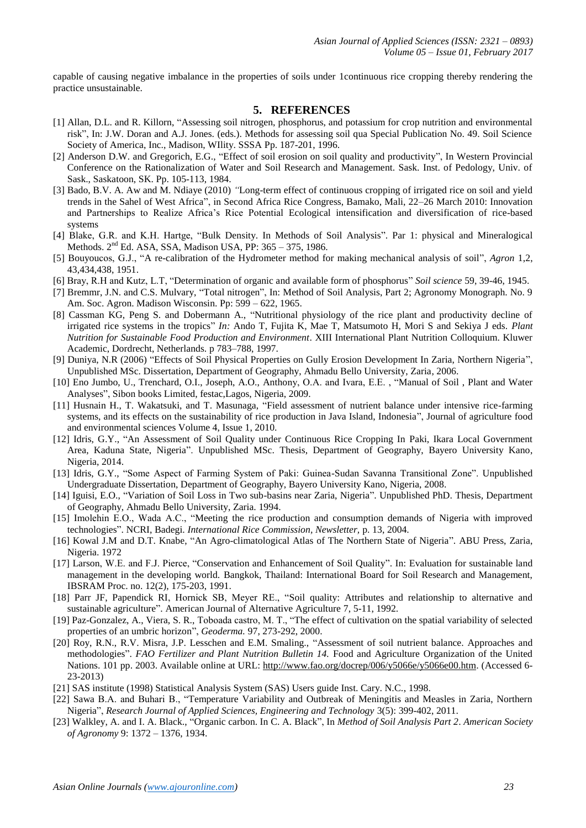capable of causing negative imbalance in the properties of soils under 1continuous rice cropping thereby rendering the practice unsustainable.

#### **5. REFERENCES**

- [1] Allan, D.L. and R. Killorn, "Assessing soil nitrogen, phosphorus, and potassium for crop nutrition and environmental risk", In: J.W. Doran and A.J. Jones. (eds.). Methods for assessing soil qua Special Publication No. 49. Soil Science Society of America, Inc., Madison, WIlity. SSSA Pp. 187-201, 1996.
- [2] Anderson D.W. and Gregorich, E.G., "Effect of soil erosion on soil quality and productivity", In Western Provincial Conference on the Rationalization of Water and Soil Research and Management. Sask. Inst. of Pedology, Univ. of Sask., Saskatoon, SK. Pp. 105-113, 1984.
- [3] Bado, B.V. A. Aw and M. Ndiaye (2010) *"*Long-term effect of continuous cropping of irrigated rice on soil and yield trends in the Sahel of West Africa", in Second Africa Rice Congress, Bamako, Mali, 22–26 March 2010: Innovation and Partnerships to Realize Africa's Rice Potential Ecological intensification and diversification of rice-based systems
- [4] Blake, G.R. and K.H. Hartge, "Bulk Density. In Methods of Soil Analysis". Par 1: physical and Mineralogical Methods. 2<sup>nd</sup> Ed. ASA, SSA, Madison USA, PP: 365 - 375, 1986.
- [5] Bouyoucos, G.J., "A re-calibration of the Hydrometer method for making mechanical analysis of soil", *Agron* 1,2, 43,434,438, 1951.
- [6] Bray, R.H and Kutz, L.T, "Determination of organic and available form of phosphorus" *Soil science* 59, 39-46, 1945.
- [7] Bremmr, J.N. and C.S. Mulvary, "Total nitrogen", In: Method of Soil Analysis, Part 2; Agronomy Monograph. No. 9 Am. Soc. Agron. Madison Wisconsin. Pp: 599 – 622, 1965.
- [8] Cassman KG, Peng S. and Dobermann A., "Nutritional physiology of the rice plant and productivity decline of irrigated rice systems in the tropics" *In:* Ando T, Fujita K, Mae T, Matsumoto H, Mori S and Sekiya J eds. *Plant Nutrition for Sustainable Food Production and Environment*. XIII International Plant Nutrition Colloquium. Kluwer Academic, Dordrecht, Netherlands. p 783–788, 1997.
- [9] Duniya, N.R (2006) "Effects of Soil Physical Properties on Gully Erosion Development In Zaria, Northern Nigeria", Unpublished MSc. Dissertation, Department of Geography, Ahmadu Bello University, Zaria, 2006.
- [10] Eno Jumbo, U., Trenchard, O.I., Joseph, A.O., Anthony, O.A. and Ivara, E.E. , "Manual of Soil , Plant and Water Analyses", Sibon books Limited, festac,Lagos, Nigeria, 2009.
- [11] Husnain H., T. Wakatsuki, and T. Masunaga, "Field assessment of nutrient balance under intensive rice-farming systems, and its effects on the sustainability of rice production in Java Island, Indonesia", Journal of agriculture food and environmental sciences Volume 4, Issue 1, 2010.
- [12] Idris, G.Y., "An Assessment of Soil Quality under Continuous Rice Cropping In Paki, Ikara Local Government Area, Kaduna State, Nigeria". Unpublished MSc. Thesis, Department of Geography, Bayero University Kano, Nigeria, 2014.
- [13] Idris, G.Y., "Some Aspect of Farming System of Paki: Guinea-Sudan Savanna Transitional Zone". Unpublished Undergraduate Dissertation, Department of Geography, Bayero University Kano, Nigeria, 2008.
- [14] Iguisi, E.O., "Variation of Soil Loss in Two sub-basins near Zaria, Nigeria". Unpublished PhD. Thesis, Department of Geography, Ahmadu Bello University, Zaria. 1994.
- [15] Imolehin E.O., Wada A.C., "Meeting the rice production and consumption demands of Nigeria with improved technologies". NCRI, Badegi. *International Rice Commission, Newsletter,* p. 13, 2004.
- [16] Kowal J.M and D.T. Knabe, "An Agro-climatological Atlas of The Northern State of Nigeria". ABU Press, Zaria, Nigeria. 1972
- [17] Larson, W.E. and F.J. Pierce, "Conservation and Enhancement of Soil Quality". In: Evaluation for sustainable land management in the developing world. Bangkok, Thailand: International Board for Soil Research and Management, IBSRAM Proc. no. 12(2), 175-203, 1991.
- [18] Parr JF, Papendick RI, Hornick SB, Meyer RE., "Soil quality: Attributes and relationship to alternative and sustainable agriculture". American Journal of Alternative Agriculture 7, 5-11, 1992.
- [19] Paz-Gonzalez, A., Viera, S. R., Toboada castro, M. T., "The effect of cultivation on the spatial variability of selected properties of an umbric horizon", *Geoderma.* 97, 273-292, 2000.
- [20] Roy, R.N., R.V. Misra, J.P. Lesschen and E.M. Smaling., "Assessment of soil nutrient balance. Approaches and methodologies". *FAO Fertilizer and Plant Nutrition Bulletin 14.* Food and Agriculture Organization of the United Nations. 101 pp. 2003. Available online at URL: [http://www.fao.org/docrep/006/y5066e/y5066e00.htm.](http://www.fao.org/docrep/006/y5066e/y5066e00.htm) (Accessed 6-23-2013)
- [21] SAS institute (1998) Statistical Analysis System (SAS) Users guide Inst. Cary. N.C., 1998.
- [22] Sawa B.A. and Buhari B., "Temperature Variability and Outbreak of Meningitis and Measles in Zaria, Northern Nigeria", *Research Journal of Applied Sciences, Engineering and Technology* 3(5): 399-402, 2011.
- [23] Walkley, A. and I. A. Black., "Organic carbon. In C. A. Black", In *Method of Soil Analysis Part 2*. *American Society of Agronomy* 9: 1372 – 1376, 1934.